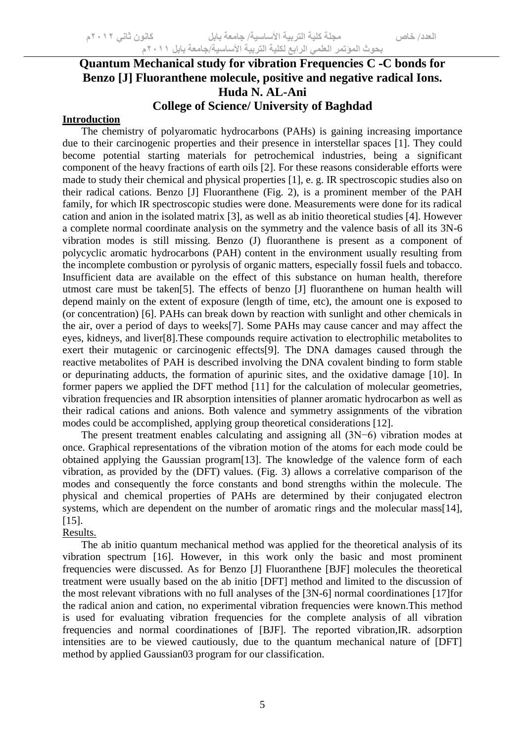# **Quantum Mechanical study for vibration Frequencies C -C bonds for Benzo [J] Fluoranthene molecule, positive and negative radical Ions. Huda N. AL-Ani College of Science/ University of Baghdad**

## **Introduction**

The chemistry of polyaromatic hydrocarbons (PAHs) is gaining increasing importance due to their carcinogenic properties and their presence in interstellar spaces [1]. They could become potential starting materials for petrochemical industries, being a significant component of the heavy fractions of earth oils [2]. For these reasons considerable efforts were made to study their chemical and physical properties [1], e. g. IR spectroscopic studies also on their radical cations. Benzo [J] Fluoranthene (Fig. 2), is a prominent member of the PAH family, for which IR spectroscopic studies were done. Measurements were done for its radical cation and anion in the isolated matrix [3], as well as ab initio theoretical studies [4]. However a complete normal coordinate analysis on the symmetry and the valence basis of all its 3N-6 vibration modes is still missing. Benzo (J) fluoranthene is present as a component of polycyclic aromatic hydrocarbons (PAH) content in the environment usually resulting from the incomplete combustion or pyrolysis of organic matters, especially fossil fuels and tobacco. Insufficient data are available on the effect of this substance on human health, therefore utmost care must be taken[5]. The effects of benzo [J] fluoranthene on human health will depend mainly on the extent of exposure (length of time, etc), the amount one is exposed to (or concentration) [6]. PAHs can break down by reaction with sunlight and other chemicals in the air, over a period of days to weeks[7]. Some PAHs may cause cancer and may affect the eyes, kidneys, and liver[8].These compounds require activation to electrophilic metabolites to exert their mutagenic or carcinogenic effects[9]. The DNA damages caused through the reactive metabolites of PAH is described involving the DNA covalent binding to form stable or depurinating adducts, the formation of apurinic sites, and the oxidative damage [10]. In former papers we applied the DFT method [11] for the calculation of molecular geometries, vibration frequencies and IR absorption intensities of planner aromatic hydrocarbon as well as their radical cations and anions. Both valence and symmetry assignments of the vibration modes could be accomplished, applying group theoretical considerations [12].

The present treatment enables calculating and assigning all (3N−6) vibration modes at once. Graphical representations of the vibration motion of the atoms for each mode could be obtained applying the Gaussian program[13]. The knowledge of the valence form of each vibration, as provided by the (DFT) values. (Fig. 3) allows a correlative comparison of the modes and consequently the force constants and bond strengths within the molecule. The physical and chemical properties of PAHs are determined by their conjugated electron systems, which are dependent on the number of aromatic rings and the molecular mass[14], [15].

#### Results.

The ab initio quantum mechanical method was applied for the theoretical analysis of its vibration spectrum [16]. However, in this work only the basic and most prominent frequencies were discussed. As for Benzo [J] Fluoranthene [BJF] molecules the theoretical treatment were usually based on the ab initio [DFT] method and limited to the discussion of the most relevant vibrations with no full analyses of the [3N-6] normal coordinationes [17]for the radical anion and cation, no experimental vibration frequencies were known.This method is used for evaluating vibration frequencies for the complete analysis of all vibration frequencies and normal coordinationes of [BJF]. The reported vibration,IR. adsorption intensities are to be viewed cautiously, due to the quantum mechanical nature of [DFT] method by applied Gaussian03 program for our classification.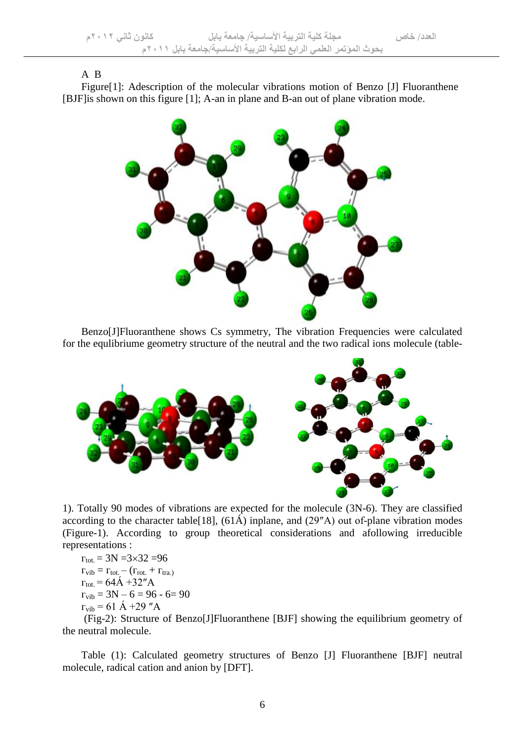#### A B

Figure[1]: Adescription of the molecular vibrations motion of Benzo [J] Fluoranthene [BJF]is shown on this figure [1]; A-an in plane and B-an out of plane vibration mode.



Benzo[J]Fluoranthene shows Cs symmetry, The vibration Frequencies were calculated for the equlibriume geometry structure of the neutral and the two radical ions molecule (table-



1). Totally 90 modes of vibrations are expected for the molecule (3N-6). They are classified according to the character table<sup>[18]</sup>,  $(61\text{\AA})$  inplane, and  $(29''\text{\AA})$  out of-plane vibration modes (Figure-1). According to group theoretical considerations and afollowing irreducible representations :

$$
\begin{array}{l} \Gamma_{\text{tot.}} = 3N = 3 \times 32 = 96 \\ \Gamma_{\text{vib}} = \Gamma_{\text{tot.}} - (\Gamma_{\text{rot.}} + \Gamma_{\text{tra.}}) \\ \Gamma_{\text{tot.}} = 64A + 32''A \\ \Gamma_{\text{vib}} = 3N - 6 = 96 - 6 = 90 \\ \Gamma_{\text{vib}} = 61 \text{ Å} + 29''A \end{array}
$$

(Fig-2): Structure of Benzo[J]Fluoranthene [BJF] showing the equilibrium geometry of the neutral molecule.

Table (1): Calculated geometry structures of Benzo [J] Fluoranthene [BJF] neutral molecule, radical cation and anion by [DFT].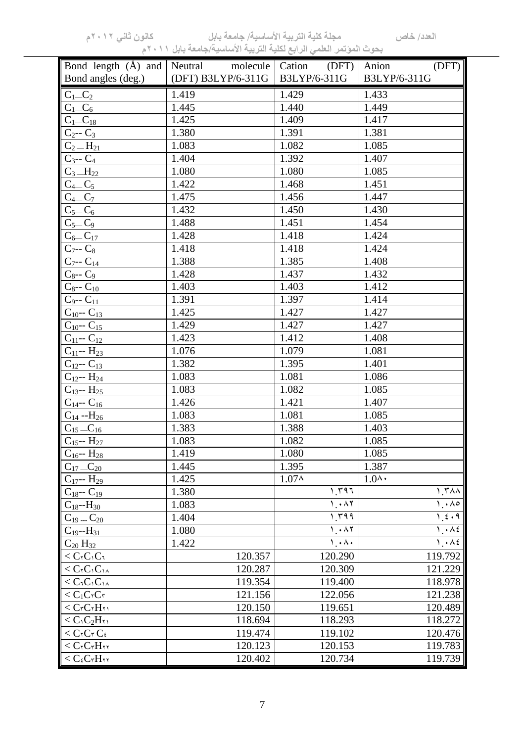| Bond length $(A)$ and                                              | Neutral molecule Cation (DFT) |                         | (DFT)<br>Anion          |
|--------------------------------------------------------------------|-------------------------------|-------------------------|-------------------------|
| Bond angles (deg.)                                                 | (DFT) B3LYP/6-311G            | B3LYP/6-311G            | B3LYP/6-311G            |
| $C_1 \_C_2$                                                        | 1.419                         | 1.429                   | 1.433                   |
| $C_1$ <sub><math>C_6</math></sub>                                  | 1.445                         | 1.440                   | 1.449                   |
| $\overline{C_1}$ <sub>18</sub>                                     | 1.425                         | 1.409                   | 1.417                   |
| $C_2 - C_3$                                                        | 1.380                         | 1.391                   | 1.381                   |
| $C_2 = H_{21}$                                                     | 1.083                         | 1.082                   | 1.085                   |
| $C_3 - C_4$                                                        | 1.404                         | 1.392                   | 1.407                   |
| $C_3$ <sub>-H<sub>22</sub></sub>                                   | 1.080                         | 1.080                   | 1.085                   |
| $C_4$ <sub>-</sub> $C_5$                                           | 1.422                         | 1.468                   | 1.451                   |
| $C_4$ <sub>-C</sub> <sub>7</sub>                                   | 1.475                         | 1.456                   | 1.447                   |
| $\overline{C}_{5-}C_{6}$                                           | 1.432                         | 1.450                   | 1.430                   |
| $C_5-C_9$                                                          | 1.488                         | 1.451                   | 1.454                   |
| $C_{6}$ $C_{17}$                                                   | 1.428                         | 1.418                   | 1.424                   |
| $C_{7}$ -- $C_{8}$                                                 | 1.418                         | 1.418                   | 1.424                   |
| $C_{7} - C_{14}$                                                   | 1.388                         | 1.385                   | 1.408                   |
| $C_8$ -- $C_9$                                                     | 1.428                         | 1.437                   | 1.432                   |
| $C_{8} - C_{10}$                                                   | 1.403                         | 1.403                   | 1.412                   |
| $C_9 - C_{11}$                                                     | 1.391                         | 1.397                   | 1.414                   |
| $C_{10}$ -- $C_{13}$                                               | 1.425                         | 1.427                   | 1.427                   |
| $C_{10} - C_{15}$                                                  | 1.429                         | 1.427                   | 1.427                   |
| $C_{11}$ -- $C_{12}$                                               | 1.423                         | 1.412                   | 1.408                   |
| $C_{11} - H_{23}$                                                  | 1.076                         | 1.079                   | 1.081                   |
| $C_{12}$ -- $C_{13}$                                               | 1.382                         | 1.395                   | 1.401                   |
| $C_{12} - H_{24}$                                                  | 1.083                         | 1.081                   | 1.086                   |
| $C_{13}$ -- $H_{25}$                                               | 1.083                         | 1.082                   | 1.085                   |
| $C_{14}$ -- $C_{16}$                                               | 1.426                         | 1.421                   | 1.407                   |
| $C_{14} - H_{26}$                                                  | 1.083                         | 1.081                   | 1.085                   |
| $C_{15}$ <sub>-C<sub>16</sub></sub>                                | 1.383                         | 1.388                   | 1.403                   |
| $C_{15}$ -- $H_{27}$                                               | 1.083                         | 1.082                   | 1.085                   |
| $C_{16}$ -- $H_{28}$                                               | 1.419                         | 1.080                   | 1.085                   |
| $C_{17}$ <sub>-C<sub>20</sub></sub>                                | 1.445                         | 1.395                   | 1.387                   |
| $C_{17}$ -- $H_{29}$                                               | 1.425                         | 1.07 <sub>A</sub>       | $1.0^{\text{A}}$        |
| $C_{18}$ -- $C_{19}$                                               | 1.380                         | 1.797                   | 1.7A                    |
| $C_{18}$ --H <sub>30</sub>                                         | 1.083                         | 1.47                    | $\lambda \cdot \lambda$ |
| $C_{19}C_{20}$                                                     | 1.404                         | 1.799                   | 1.5.9                   |
| $C_{19} - H_{31}$                                                  | 1.080                         | 1.47                    | 1.445                   |
| $C_{20}H_{32}$                                                     | 1.422                         | $\lambda \cdot \lambda$ | 1.465                   |
| $<$ $C_1C_1C_1$                                                    | 120.357                       | 120.290                 | 119.792                 |
| $<$ $C_1C_1C_1$                                                    | 120.287                       | 120.309                 | 121.229                 |
| $<$ $C_1C_1C_1$                                                    | 119.354                       | 119.400                 | 118.978                 |
| $< C_1 C_1 C_7$                                                    | 121.156                       | 122.056                 | 121.238                 |
| $<$ $C$ r $C$ r $H$ r $i$                                          | 120.150                       | 119.651                 | 120.489                 |
| $<$ C <sub>1</sub> C <sub>2</sub> H <sub>11</sub>                  | 118.694                       | 118.293                 | 118.272                 |
| $<$ $C_7C_7C_5$                                                    | 119.474                       | 119.102                 | 120.476                 |
| $<$ $C_7C_7H_{11}$                                                 | 120.123                       | 120.153                 | 119.783                 |
| $<$ $C_{\mathfrak{s}}C_{\mathfrak{r}}H_{\mathfrak{r}\mathfrak{r}}$ | 120.402                       | 120.734                 | 119.739                 |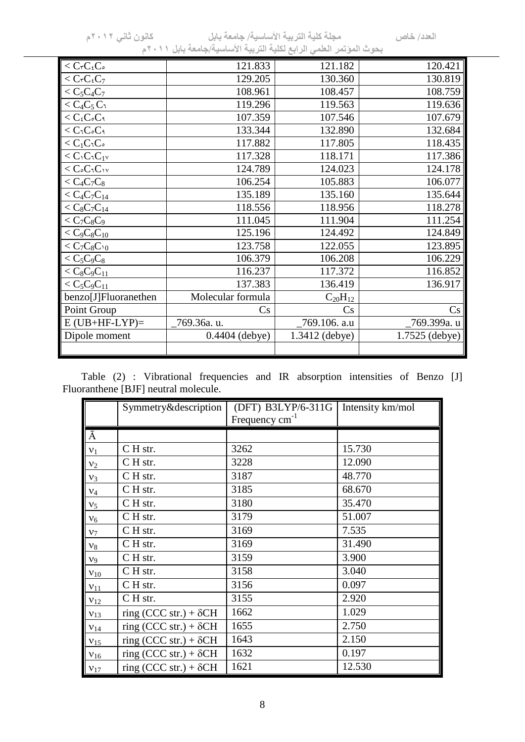| $< CrCsCo$<br>120.421<br>121.833<br>121.182<br>130.819<br>$<$ CrC <sub>i</sub> C <sub>7</sub><br>129.205<br>130.360<br>$<$ C <sub>5</sub> C <sub>4</sub> C <sub>7</sub><br>108.961<br>108.457<br>108.759<br>119.636<br>$<$ $C_4C_5C_1$<br>119.296<br>119.563<br>$< C_{\mathfrak{c}} C_{\mathfrak{s}} C_{\mathfrak{q}}$<br>107.359<br>107.546<br>107.679<br>132.684<br>$<$ $C_1C_2C_1$<br>133.344<br>132.890<br>$< C_1C_1C_2$<br>117.882<br>118.435<br>117.805<br>117.386<br>$<$ C <sub>1</sub> C <sub>1</sub> C <sub>1</sub> $<$<br>117.328<br>118.171<br>$<$ $C$ ° $C$ $1C$ <sub>1V</sub><br>124.789<br>124.023<br>124.178<br>106.254<br>$< C_4C_7C_8$<br>105.883<br>106.077<br>135.189<br>135.644<br>$< C_{4}C_{7}C_{14}$<br>135.160<br>$< C_8C_7C_{14}$<br>118.556<br>118.278<br>118.956<br>111.254<br>$111.045111.904125.196124.849< C_9C_8C_{10}124.492$ |                        |
|---------------------------------------------------------------------------------------------------------------------------------------------------------------------------------------------------------------------------------------------------------------------------------------------------------------------------------------------------------------------------------------------------------------------------------------------------------------------------------------------------------------------------------------------------------------------------------------------------------------------------------------------------------------------------------------------------------------------------------------------------------------------------------------------------------------------------------------------------------------|------------------------|
|                                                                                                                                                                                                                                                                                                                                                                                                                                                                                                                                                                                                                                                                                                                                                                                                                                                               |                        |
|                                                                                                                                                                                                                                                                                                                                                                                                                                                                                                                                                                                                                                                                                                                                                                                                                                                               |                        |
|                                                                                                                                                                                                                                                                                                                                                                                                                                                                                                                                                                                                                                                                                                                                                                                                                                                               |                        |
|                                                                                                                                                                                                                                                                                                                                                                                                                                                                                                                                                                                                                                                                                                                                                                                                                                                               |                        |
|                                                                                                                                                                                                                                                                                                                                                                                                                                                                                                                                                                                                                                                                                                                                                                                                                                                               |                        |
|                                                                                                                                                                                                                                                                                                                                                                                                                                                                                                                                                                                                                                                                                                                                                                                                                                                               |                        |
|                                                                                                                                                                                                                                                                                                                                                                                                                                                                                                                                                                                                                                                                                                                                                                                                                                                               |                        |
|                                                                                                                                                                                                                                                                                                                                                                                                                                                                                                                                                                                                                                                                                                                                                                                                                                                               |                        |
|                                                                                                                                                                                                                                                                                                                                                                                                                                                                                                                                                                                                                                                                                                                                                                                                                                                               |                        |
|                                                                                                                                                                                                                                                                                                                                                                                                                                                                                                                                                                                                                                                                                                                                                                                                                                                               |                        |
|                                                                                                                                                                                                                                                                                                                                                                                                                                                                                                                                                                                                                                                                                                                                                                                                                                                               |                        |
|                                                                                                                                                                                                                                                                                                                                                                                                                                                                                                                                                                                                                                                                                                                                                                                                                                                               |                        |
|                                                                                                                                                                                                                                                                                                                                                                                                                                                                                                                                                                                                                                                                                                                                                                                                                                                               |                        |
|                                                                                                                                                                                                                                                                                                                                                                                                                                                                                                                                                                                                                                                                                                                                                                                                                                                               |                        |
| 123.895<br>$< C_7 C_8 C_{10}$<br>123.758<br>122.055                                                                                                                                                                                                                                                                                                                                                                                                                                                                                                                                                                                                                                                                                                                                                                                                           |                        |
| 106.229<br>106.379<br>$106.208$                                                                                                                                                                                                                                                                                                                                                                                                                                                                                                                                                                                                                                                                                                                                                                                                                               |                        |
| 116.852<br>$< C_8C_9C_{11}$<br>116.237<br>117.372                                                                                                                                                                                                                                                                                                                                                                                                                                                                                                                                                                                                                                                                                                                                                                                                             |                        |
| 137.383<br>$< C_5C_9C_{11}$<br>136.419<br>136.917                                                                                                                                                                                                                                                                                                                                                                                                                                                                                                                                                                                                                                                                                                                                                                                                             |                        |
| Molecular formula<br>benzo[J]Fluoranethen<br>$C_{20}H_{12}$                                                                                                                                                                                                                                                                                                                                                                                                                                                                                                                                                                                                                                                                                                                                                                                                   |                        |
| Point Group<br>$\rm Cs$<br>Cs                                                                                                                                                                                                                                                                                                                                                                                                                                                                                                                                                                                                                                                                                                                                                                                                                                 | $\mathbf{C}\mathbf{s}$ |
| $E(UB+HF-LYP)=$<br>769.36a. u.<br>769.106. a.u<br>769.399a. u                                                                                                                                                                                                                                                                                                                                                                                                                                                                                                                                                                                                                                                                                                                                                                                                 |                        |
| Dipole moment<br>0.4404 (debye)<br>1.3412 (debye)<br>1.7525 (debye)                                                                                                                                                                                                                                                                                                                                                                                                                                                                                                                                                                                                                                                                                                                                                                                           |                        |
|                                                                                                                                                                                                                                                                                                                                                                                                                                                                                                                                                                                                                                                                                                                                                                                                                                                               |                        |

Table (2) : Vibrational frequencies and IR absorption intensities of Benzo [J] Fluoranthene [BJF] neutral molecule.

|                 | Symmetry&description          | (DFT) B3LYP/6-311G<br>Frequency $cm^{-1}$ | Intensity km/mol |
|-----------------|-------------------------------|-------------------------------------------|------------------|
| $\bar{A}$       |                               |                                           |                  |
| $\mathbf{v}_1$  | C H str.                      | 3262                                      | 15.730           |
| $v_2$           | C H str.                      | 3228                                      | 12.090           |
| $v_3$           | CH str.                       | 3187                                      | 48.770           |
| $\nu_4$         | CH str.                       | 3185                                      | 68.670           |
| $V_5$           | CH str.                       | 3180                                      | 35.470           |
| $V_6$           | CH str.                       | 3179                                      | 51.007           |
| $V_7$           | CH str.                       | 3169                                      | 7.535            |
| $v_8$           | C H str.                      | 3169                                      | 31.490           |
| $\mathbf{v}_9$  | CH str.                       | 3159                                      | 3.900            |
| $v_{10}$        | CH str.                       | 3158                                      | 3.040            |
| $V_{11}$        | CH str.                       | 3156                                      | 0.097            |
| V <sub>12</sub> | CH str.                       | 3155                                      | 2.920            |
| V <sub>13</sub> | ring (CCC str.) + $\delta$ CH | 1662                                      | 1.029            |
| V <sub>14</sub> | ring (CCC str.) + $\delta$ CH | 1655                                      | 2.750            |
| V <sub>15</sub> | ring (CCC str.) + $\delta$ CH | 1643                                      | 2.150            |
| V <sub>16</sub> | ring (CCC str.) + $\delta$ CH | 1632                                      | 0.197            |
| V <sub>17</sub> | ring (CCC str.) + $\delta$ CH | 1621                                      | 12.530           |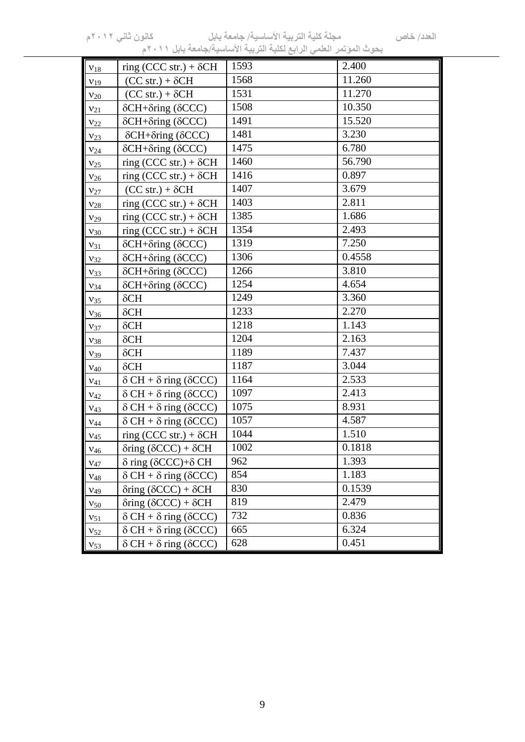| $V_{18}$        | ring (CCC str.) + $\delta$ CH               | 1593 | 2.400  |
|-----------------|---------------------------------------------|------|--------|
| V <sub>19</sub> | $(CC str.) + \delta CH$                     | 1568 | 11.260 |
| $V_{20}$        | $(CC str.) + \delta CH$                     | 1531 | 11.270 |
| $v_{21}$        | $\delta$ CH+ $\delta$ ring ( $\delta$ CCC)  | 1508 | 10.350 |
| $V_{22}$        | $\delta$ CH+ $\delta$ ring ( $\delta$ CCC)  | 1491 | 15.520 |
| $V_{23}$        | $\delta$ CH+ $\delta$ ring ( $\delta$ CCC)  | 1481 | 3.230  |
| $V_{24}$        | $\delta$ CH+ $\delta$ ring ( $\delta$ CCC)  | 1475 | 6.780  |
| V <sub>25</sub> | ring (CCC str.) + $\delta$ CH               | 1460 | 56.790 |
| $V_{26}$        | ring (CCC str.) + $\delta$ CH               | 1416 | 0.897  |
| $V_{27}$        | $(CC str.) + \delta CH$                     | 1407 | 3.679  |
| $V_{28}$        | ring (CCC str.) + $\delta$ CH               | 1403 | 2.811  |
| V <sub>29</sub> | ring (CCC str.) + $\delta$ CH               | 1385 | 1.686  |
| $V_{30}$        | ring (CCC str.) + $\delta$ CH               | 1354 | 2.493  |
| $V_{31}$        | $\delta$ CH+ $\delta$ ring ( $\delta$ CCC)  | 1319 | 7.250  |
| $V_{32}$        | $\delta$ CH+ $\delta$ ring ( $\delta$ CCC)  | 1306 | 0.4558 |
| $V_{33}$        | $\delta$ CH+ $\delta$ ring ( $\delta$ CCC)  | 1266 | 3.810  |
| $V_{34}$        | $\delta$ CH+ $\delta$ ring ( $\delta$ CCC)  | 1254 | 4.654  |
| $V_{35}$        | $\delta$ CH                                 | 1249 | 3.360  |
| $V_{36}$        | $\delta$ CH                                 | 1233 | 2.270  |
| $V_{37}$        | $\delta$ CH                                 | 1218 | 1.143  |
| $V_{38}$        | $\delta$ CH                                 | 1204 | 2.163  |
| $V_39$          | $\delta$ CH                                 | 1189 | 7.437  |
| $V_{40}$        | $\delta$ CH                                 | 1187 | 3.044  |
| $V_{41}$        | $\delta$ CH + $\delta$ ring ( $\delta$ CCC) | 1164 | 2.533  |
| $V_{42}$        | $\delta$ CH + $\delta$ ring ( $\delta$ CCC) | 1097 | 2.413  |
| $V_{43}$        | $\delta$ CH + $\delta$ ring ( $\delta$ CCC) | 1075 | 8.931  |
| ${\rm V}_{44}$  | $\delta$ CH + $\delta$ ring ( $\delta$ CCC) | 1057 | 4.587  |
| V <sub>45</sub> | ring (CCC str.) + $\delta$ CH               | 1044 | 1.510  |
| $\rm{V_{46}}$   | $\delta$ ring ( $\delta$ CCC) + $\delta$ CH | 1002 | 0.1818 |
| $V_{47}$        | $\delta$ ring ( $\delta$ CCC)+ $\delta$ CH  | 962  | 1.393  |
| $V_{48}$        | $\delta$ CH + $\delta$ ring ( $\delta$ CCC) | 854  | 1.183  |
| $V_{49}$        | $\delta$ ring ( $\delta$ CCC) + $\delta$ CH | 830  | 0.1539 |
| $V_{50}$        | $\delta$ ring ( $\delta$ CCC) + $\delta$ CH | 819  | 2.479  |
| $V_{51}$        | $\delta CH + \delta$ ring ( $\delta CCC$ )  | 732  | 0.836  |
| $v_{52}$        | $\delta$ CH + $\delta$ ring ( $\delta$ CCC) | 665  | 6.324  |
| $V_{53}$        | $\delta$ CH + $\delta$ ring ( $\delta$ CCC) | 628  | 0.451  |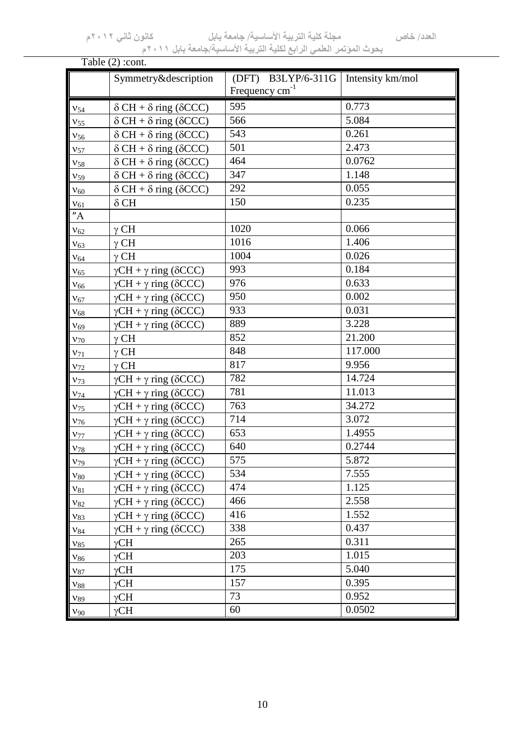**العدد/ خاص مجلة كلية التربية األساسية/ جامعة بابل كانون ثاني 0220م**

**بحوث المؤتمر العلمي الرابع لكلية التربية األساسية/جامعة بابل 0222م**

|          | Table $(2)$ : cont.                         |                                              |                  |
|----------|---------------------------------------------|----------------------------------------------|------------------|
|          | Symmetry&description                        | B3LYP/6-311G<br>(DFT)<br>Frequency $cm^{-1}$ | Intensity km/mol |
| $V_{54}$ | $\delta$ CH + $\delta$ ring ( $\delta$ CCC) | 595                                          | 0.773            |
| $V_{55}$ | $\delta$ CH + $\delta$ ring ( $\delta$ CCC) | 566                                          | 5.084            |
| $V_{56}$ | $\delta CH + \delta$ ring ( $\delta CCC$ )  | 543                                          | 0.261            |
| $V_{57}$ | $\delta$ CH + $\delta$ ring ( $\delta$ CCC) | 501                                          | 2.473            |
| $V_{58}$ | $\delta$ CH + $\delta$ ring ( $\delta$ CCC) | 464                                          | 0.0762           |
| $V_{59}$ | $\delta$ CH + $\delta$ ring ( $\delta$ CCC) | 347                                          | 1.148            |
| $V_{60}$ | $\delta$ CH + $\delta$ ring ( $\delta$ CCC) | 292                                          | 0.055            |
| $V_{61}$ | $\delta$ CH                                 | 150                                          | 0.235            |
| "A"      |                                             |                                              |                  |
| $V_{62}$ | $\gamma$ CH                                 | 1020                                         | 0.066            |
| $V_{63}$ | $\gamma$ CH                                 | 1016                                         | 1.406            |
| $V_{64}$ | $\gamma$ CH                                 | 1004                                         | 0.026            |
| $V_{65}$ | $\gamma CH + \gamma$ ring ( $\delta CCC$ )  | 993                                          | 0.184            |
| $V_{66}$ | $\gamma CH + \gamma$ ring ( $\delta CCC$ )  | 976                                          | 0.633            |
| $V_{67}$ | $\gamma CH + \gamma$ ring ( $\delta CCC$ )  | 950                                          | 0.002            |
| $V_{68}$ | $\gamma CH + \gamma$ ring ( $\delta CCC$ )  | 933                                          | 0.031            |
| $V_{69}$ | $\gamma CH + \gamma$ ring ( $\delta CCC$ )  | 889                                          | 3.228            |
| $V_{70}$ | $\gamma$ CH                                 | 852                                          | 21.200           |
| $V_{71}$ | $\gamma$ CH                                 | 848                                          | 117.000          |
| $V_{72}$ | $\gamma$ CH                                 | 817                                          | 9.956            |
| $V_{73}$ | $\gamma CH + \gamma$ ring ( $\delta CCC$ )  | 782                                          | 14.724           |
| $V_{74}$ | $\gamma CH + \gamma$ ring ( $\delta CCC$ )  | 781                                          | 11.013           |
| $V_{75}$ | $\gamma CH + \gamma$ ring ( $\delta CCC$ )  | 763                                          | 34.272           |
| $V_{76}$ | $\gamma CH + \gamma$ ring ( $\delta CCC$ )  | 714                                          | 3.072            |
| $V_{77}$ | $\gamma CH + \gamma$ ring ( $\delta CCC$ )  | 653                                          | 1.4955           |
| $V_{78}$ | $\gamma CH + \gamma$ ring ( $\delta CCC$ )  | 640                                          | 0.2744           |
| $V_{79}$ | $\gamma CH + \gamma$ ring ( $\delta CCC$ )  | 575                                          | 5.872            |
| $v_{80}$ | $\gamma CH + \gamma$ ring ( $\delta CCC$ )  | 534                                          | 7.555            |
| $v_{81}$ | $\gamma CH + \gamma$ ring ( $\delta CCC$ )  | 474                                          | 1.125            |
| $V_{82}$ | $\gamma CH + \gamma$ ring ( $\delta CCC$ )  | 466                                          | 2.558            |
| $V_{83}$ | $\gamma CH + \gamma$ ring ( $\delta CCC$ )  | 416                                          | 1.552            |
| $V_{84}$ | $\gamma CH + \gamma$ ring ( $\delta CCC$ )  | 338                                          | 0.437            |
| $V_{85}$ | $\gamma$ CH                                 | 265                                          | 0.311            |
| $v_{86}$ | $\gamma$ CH                                 | 203                                          | 1.015            |
| $V_{87}$ | $\gamma$ CH                                 | 175                                          | 5.040            |
| $V_{88}$ | $\gamma$ CH                                 | 157                                          | 0.395            |
| $V_{89}$ | $\gamma$ CH                                 | 73                                           | 0.952            |
| $V_{90}$ | $\gamma$ CH                                 | 60                                           | 0.0502           |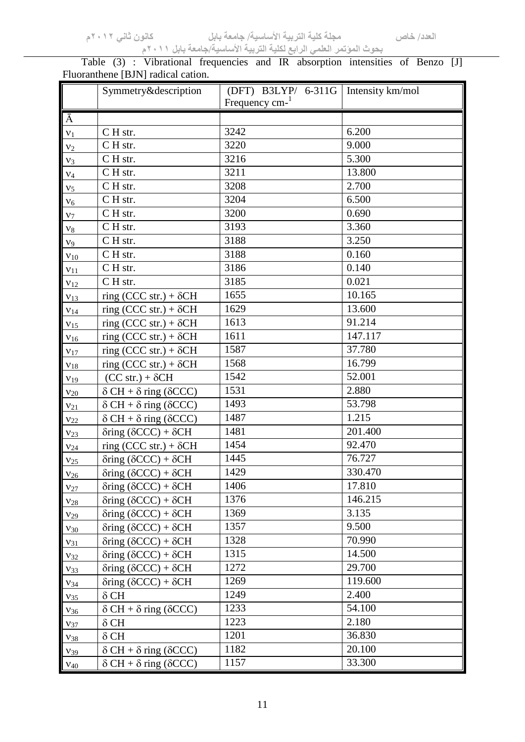Table (3) : Vibrational frequencies and IR absorption intensities of Benzo [J] Fluoranthene [BJN] radical cation.

|                 | Symmetry&description                        | (DFT) B3LYP/ 6-311G        | Intensity km/mol |
|-----------------|---------------------------------------------|----------------------------|------------------|
|                 |                                             | Frequency cm- <sup>1</sup> |                  |
| Ā               |                                             |                            |                  |
| $v_1$           | CH str.                                     | 3242                       | 6.200            |
| v <sub>2</sub>  | CH str.                                     | 3220                       | 9.000            |
| $V_3$           | C H str.                                    | 3216                       | 5.300            |
| $V_4$           | CH str.                                     | 3211                       | 13.800           |
| v <sub>5</sub>  | CH str.                                     | 3208                       | 2.700            |
| $V_6$           | CH str.                                     | 3204                       | 6.500            |
| $v_7$           | CH str.                                     | 3200                       | 0.690            |
| $v_8$           | CH str.                                     | 3193                       | 3.360            |
| $V_9$           | CH str.                                     | 3188                       | 3.250            |
| $v_{10}$        | C H str.                                    | 3188                       | 0.160            |
| $v_{11}$        | CH str.                                     | 3186                       | 0.140            |
| $v_{12}$        | CH str.                                     | 3185                       | 0.021            |
| $v_{13}$        | ring (CCC str.) + $\delta$ CH               | 1655                       | 10.165           |
| $v_{14}$        | ring (CCC str.) + $\delta$ CH               | 1629                       | 13.600           |
| V <sub>15</sub> | ring (CCC str.) + $\delta$ CH               | 1613                       | 91.214           |
| $V_{16}$        | ring (CCC str.) + $\delta$ CH               | 1611                       | 147.117          |
| $v_{17}$        | ring (CCC str.) + $\delta$ CH               | 1587                       | 37.780           |
| $V_{18}$        | ring (CCC str.) + $\delta$ CH               | 1568                       | 16.799           |
| V <sub>19</sub> | $(CC str.) + \delta CH$                     | 1542                       | 52.001           |
| $v_{20}$        | $\delta$ CH + $\delta$ ring ( $\delta$ CCC) | 1531                       | 2.880            |
| $v_{21}$        | $\delta$ CH + $\delta$ ring ( $\delta$ CCC) | 1493                       | 53.798           |
| $V_{22}$        | $\delta$ CH + $\delta$ ring ( $\delta$ CCC) | 1487                       | 1.215            |
| $V_{23}$        | $\delta$ ring ( $\delta$ CCC) + $\delta$ CH | 1481                       | 201.400          |
| $V_{24}$        | ring (CCC str.) + $\delta$ CH               | 1454                       | 92.470           |
| $v_{25}$        | $\delta$ ring ( $\delta$ CCC) + $\delta$ CH | 1445                       | 76.727           |
| $V_{26}$        | $\delta$ ring ( $\delta$ CCC) + $\delta$ CH | 1429                       | 330.470          |
| $V_{27}$        | $\delta$ ring ( $\delta$ CCC) + $\delta$ CH | 1406                       | 17.810           |
| $V_{28}$        | $\delta$ ring ( $\delta$ CCC) + $\delta$ CH | 1376                       | 146.215          |
| V <sub>29</sub> | $\delta$ ring ( $\delta$ CCC) + $\delta$ CH | 1369                       | 3.135            |
| $V_{30}$        | $\delta$ ring ( $\delta$ CCC) + $\delta$ CH | 1357                       | 9.500            |
| $v_{31}$        | $\delta$ ring ( $\delta$ CCC) + $\delta$ CH | 1328                       | 70.990           |
| $v_{32}$        | $\delta$ ring ( $\delta$ CCC) + $\delta$ CH | 1315                       | 14.500           |
| $V_{33}$        | $\delta$ ring ( $\delta$ CCC) + $\delta$ CH | 1272                       | 29.700           |
| $V_{34}$        | $\delta$ ring ( $\delta$ CCC) + $\delta$ CH | 1269                       | 119.600          |
| $V_{35}$        | $\delta$ CH                                 | 1249                       | 2.400            |
| $V_{36}$        | $\delta$ CH + $\delta$ ring ( $\delta$ CCC) | 1233                       | 54.100           |
| $V_{37}$        | $\delta$ CH                                 | 1223                       | 2.180            |
| $V_{38}$        | $\delta$ CH                                 | 1201                       | 36.830           |
| $V_{39}$        | $\delta$ CH + $\delta$ ring ( $\delta$ CCC) | 1182                       | 20.100           |
| $V_{40}$        | $\delta$ CH + $\delta$ ring ( $\delta$ CCC) | 1157                       | 33.300           |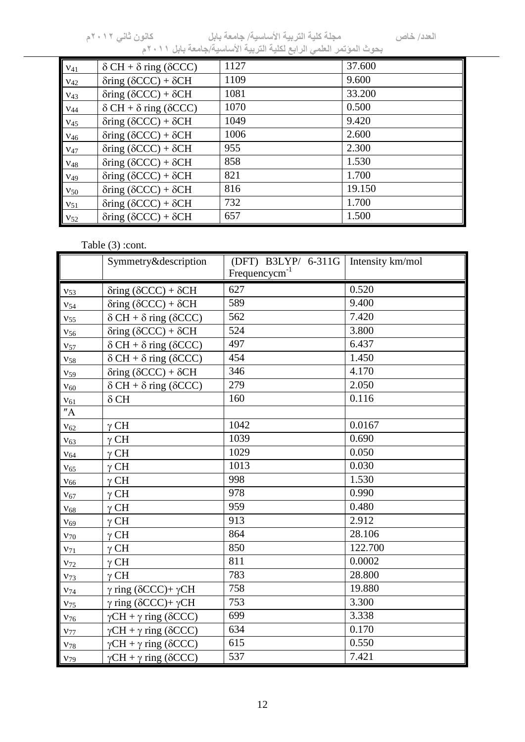| $V_{41}$ | $\delta CH + \delta$ ring ( $\delta CCC$ )  | 1127 | 37.600 |
|----------|---------------------------------------------|------|--------|
| $V_{42}$ | $\delta$ ring ( $\delta$ CCC) + $\delta$ CH | 1109 | 9.600  |
| $V_{43}$ | $\delta$ ring ( $\delta$ CCC) + $\delta$ CH | 1081 | 33.200 |
| $V_{44}$ | $\delta CH + \delta$ ring ( $\delta CCC$ )  | 1070 | 0.500  |
| $V_{45}$ | $\delta$ ring ( $\delta$ CCC) + $\delta$ CH | 1049 | 9.420  |
| $V_{46}$ | $\delta$ ring ( $\delta$ CCC) + $\delta$ CH | 1006 | 2.600  |
| $V_{47}$ | $\delta$ ring ( $\delta$ CCC) + $\delta$ CH | 955  | 2.300  |
| $V_{48}$ | $\delta$ ring ( $\delta$ CCC) + $\delta$ CH | 858  | 1.530  |
| $V_{49}$ | $\delta$ ring ( $\delta$ CCC) + $\delta$ CH | 821  | 1.700  |
| $V_{50}$ | $\delta$ ring ( $\delta$ CCC) + $\delta$ CH | 816  | 19.150 |
| $V_{51}$ | $\delta$ ring ( $\delta$ CCC) + $\delta$ CH | 732  | 1.700  |
| $V_{52}$ | $\delta$ ring ( $\delta$ CCC) + $\delta$ CH | 657  | 1.500  |

# Table  $(3)$  :cont.

|                 | Symmetry&description                        | (DFT) B3LYP/ 6-311G<br>$Frequencies^{-1}$ | Intensity km/mol |
|-----------------|---------------------------------------------|-------------------------------------------|------------------|
| $v_{53}$        | $\delta$ ring ( $\delta$ CCC) + $\delta$ CH | 627                                       | 0.520            |
| $V_{54}$        | $\delta$ ring ( $\delta$ CCC) + $\delta$ CH | 589                                       | 9.400            |
| $V_{55}$        | $\delta$ CH + $\delta$ ring ( $\delta$ CCC) | 562                                       | 7.420            |
| $V_{56}$        | $\delta$ ring ( $\delta$ CCC) + $\delta$ CH | 524                                       | 3.800            |
| $V_{57}$        | $\delta$ CH + $\delta$ ring ( $\delta$ CCC) | 497                                       | 6.437            |
| $V_{58}$        | $\delta$ CH + $\delta$ ring ( $\delta$ CCC) | 454                                       | 1.450            |
| V <sub>59</sub> | $\delta$ ring ( $\delta$ CCC) + $\delta$ CH | 346                                       | 4.170            |
| $V_{60}$        | $\delta$ CH + $\delta$ ring ( $\delta$ CCC) | 279                                       | 2.050            |
| $V_{61}$        | $\delta$ CH                                 | 160                                       | 0.116            |
| "A"             |                                             |                                           |                  |
| $V_{62}$        | $\gamma$ CH                                 | 1042                                      | 0.0167           |
| $V_{63}$        | $\gamma$ CH                                 | 1039                                      | 0.690            |
| $V_{64}$        | $\gamma$ CH                                 | 1029                                      | 0.050            |
| $V_{65}$        | $\gamma$ CH                                 | 1013                                      | 0.030            |
| $V_{66}$        | $\gamma$ CH                                 | 998                                       | 1.530            |
| $V_{67}$        | $\gamma$ CH                                 | 978                                       | 0.990            |
| $V_{68}$        | $\gamma$ CH                                 | 959                                       | 0.480            |
| $V_{69}$        | $\gamma$ CH                                 | 913                                       | 2.912            |
| ${\rm v_{70}}$  | $\gamma$ CH                                 | 864                                       | 28.106           |
| $V_{71}$        | $\gamma$ CH                                 | 850                                       | 122.700          |
| $V_{72}$        | $\gamma$ CH                                 | 811                                       | 0.0002           |
| $V_{73}$        | $\gamma$ CH                                 | 783                                       | 28.800           |
| $V_{74}$        | $\gamma$ ring ( $\delta$ CCC)+ $\gamma$ CH  | 758                                       | 19.880           |
| $V_{75}$        | $\gamma$ ring ( $\delta$ CCC)+ $\gamma$ CH  | 753                                       | 3.300            |
| $V_{76}$        | $\gamma CH + \gamma$ ring ( $\delta CCC$ )  | 699                                       | 3.338            |
| $V_{77}$        | $\gamma CH + \gamma$ ring ( $\delta CCC$ )  | 634                                       | 0.170            |
| $V_{78}$        | $\gamma CH + \gamma$ ring ( $\delta CCC$ )  | 615                                       | 0.550            |
| $V_{79}$        | $\gamma CH + \gamma$ ring ( $\delta CCC$ )  | 537                                       | 7.421            |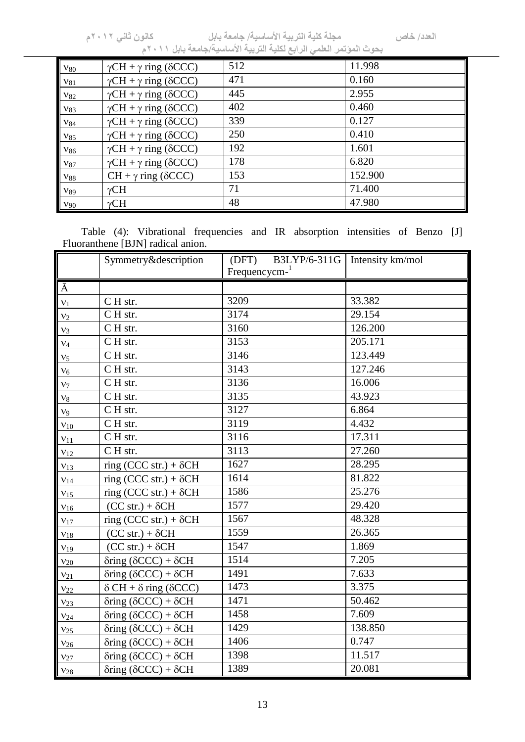| $v_{80}$ | $\gamma CH + \gamma$ ring ( $\delta CCC$ ) | 512 | 11.998  |
|----------|--------------------------------------------|-----|---------|
| $v_{81}$ | $\gamma CH + \gamma$ ring ( $\delta CCC$ ) | 471 | 0.160   |
| $v_{82}$ | $\gamma CH + \gamma$ ring ( $\delta CCC$ ) | 445 | 2.955   |
| $V_{83}$ | $\gamma CH + \gamma$ ring ( $\delta CCC$ ) | 402 | 0.460   |
| $v_{84}$ | $\gamma CH + \gamma$ ring ( $\delta CCC$ ) | 339 | 0.127   |
| $V_{85}$ | $\gamma CH + \gamma$ ring ( $\delta CCC$ ) | 250 | 0.410   |
| $V_{86}$ | $\gamma CH + \gamma$ ring ( $\delta CCC$ ) | 192 | 1.601   |
| $V_{87}$ | $\gamma CH + \gamma$ ring ( $\delta CCC$ ) | 178 | 6.820   |
| $V_{88}$ | $CH + \gamma$ ring ( $\delta$ CCC)         | 153 | 152.900 |
| $V_{89}$ | $\gamma$ CH                                | 71  | 71.400  |
| $v_{90}$ | $\gamma$ CH                                | 48  | 47.980  |

Table (4): Vibrational frequencies and IR absorption intensities of Benzo [J] Fluoranthene [BJN] radical anion.

|                 | Symmetry&description                        | B3LYP/6-311G<br>(DFT)    | Intensity km/mol |
|-----------------|---------------------------------------------|--------------------------|------------------|
|                 |                                             | Frequencies <sub>1</sub> |                  |
| $\overline{A}$  |                                             |                          |                  |
| ${\bf v}_1$     | CH str.                                     | 3209                     | 33.382           |
| v <sub>2</sub>  | CH str.                                     | 3174                     | 29.154           |
| $v_3$           | $\overline{C}$ H str.                       | 3160                     | 126.200          |
| $v_4$           | CH str.                                     | 3153                     | 205.171          |
| ${\rm V}_5$     | $\overline{C}$ H str.                       | 3146                     | 123.449          |
| $V_6$           | CH str.                                     | 3143                     | 127.246          |
| $v_7$           | CH str.                                     | 3136                     | 16.006           |
| ${\rm V8}$      | CH str.                                     | 3135                     | 43.923           |
| v <sub>9</sub>  | CH str.                                     | 3127                     | 6.864            |
| $V_{10}$        | CH str.                                     | 3119                     | 4.432            |
| $v_{11}$        | $\overline{C}$ H str.                       | 3116                     | 17.311           |
| $v_{12}$        | C H str.                                    | 3113                     | 27.260           |
| V <sub>13</sub> | ring (CCC str.) + $\delta$ CH               | 1627                     | 28.295           |
| $v_{14}$        | ring (CCC str.) + $\delta$ CH               | 1614                     | 81.822           |
| V <sub>15</sub> | ring (CCC str.) + $\delta$ CH               | 1586                     | 25.276           |
| $V_{16}$        | $(CC str.) + \delta CH$                     | 1577                     | 29.420           |
| $v_{17}$        | ring (CCC str.) + $\delta$ CH               | 1567                     | 48.328           |
| $V_{18}$        | $(CC str.) + \delta CH$                     | 1559                     | 26.365           |
| V <sub>19</sub> | $(CC str.) + \delta CH$                     | 1547                     | 1.869            |
| $V_{20}$        | $\delta$ ring ( $\delta$ CCC) + $\delta$ CH | 1514                     | 7.205            |
| $v_{21}$        | $\delta$ ring ( $\delta$ CCC) + $\delta$ CH | 1491                     | 7.633            |
| $V_{22}$        | $\delta$ CH + $\delta$ ring ( $\delta$ CCC) | 1473                     | 3.375            |
| V <sub>23</sub> | $\delta$ ring ( $\delta$ CCC) + $\delta$ CH | 1471                     | 50.462           |
| $V_{24}$        | $\delta$ ring ( $\delta$ CCC) + $\delta$ CH | 1458                     | 7.609            |
| $V_{25}$        | $\delta$ ring ( $\delta$ CCC) + $\delta$ CH | 1429                     | 138.850          |
| $V_{26}$        | $\delta$ ring ( $\delta$ CCC) + $\delta$ CH | 1406                     | 0.747            |
| $V_{27}$        | $\delta$ ring ( $\delta$ CCC) + $\delta$ CH | 1398                     | 11.517           |
| $V_{28}$        | $\delta$ ring ( $\delta$ CCC) + $\delta$ CH | 1389                     | 20.081           |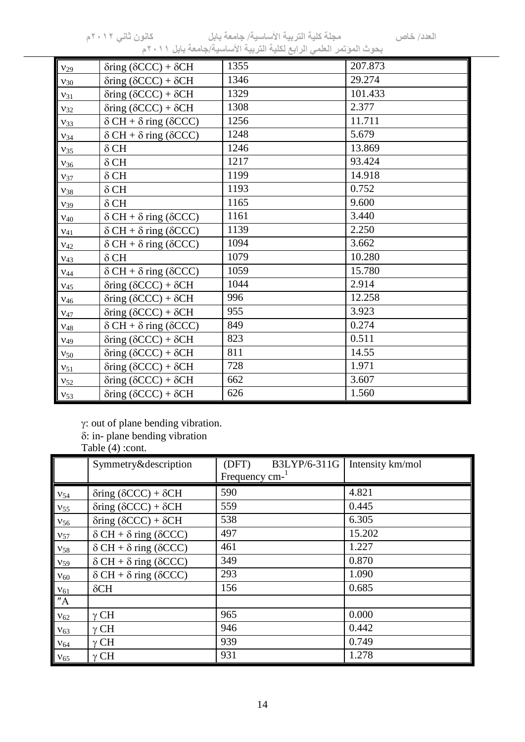|          | $\frac{1}{2}$<br>$a1$ $a2$                  | $\sim$ $\sim$ $\sim$<br>پ ب |         |
|----------|---------------------------------------------|-----------------------------|---------|
| $V_{29}$ | $\delta$ ring ( $\delta$ CCC) + $\delta$ CH | 1355                        | 207.873 |
| $v_{30}$ | $\delta$ ring ( $\delta$ CCC) + $\delta$ CH | 1346                        | 29.274  |
| $v_{31}$ | $\delta$ ring ( $\delta$ CCC) + $\delta$ CH | 1329                        | 101.433 |
| $v_{32}$ | $\delta$ ring ( $\delta$ CCC) + $\delta$ CH | 1308                        | 2.377   |
| $v_{33}$ | $\delta$ CH + $\delta$ ring ( $\delta$ CCC) | 1256                        | 11.711  |
| $V_{34}$ | $\delta$ CH + $\delta$ ring ( $\delta$ CCC) | 1248                        | 5.679   |
| $V_{35}$ | $\delta$ CH                                 | 1246                        | 13.869  |
| $V_{36}$ | $\delta$ CH                                 | 1217                        | 93.424  |
| $V_{37}$ | $\delta$ CH                                 | 1199                        | 14.918  |
| $V_{38}$ | $\delta$ CH                                 | 1193                        | 0.752   |
| $V_39$   | $\delta$ CH                                 | 1165                        | 9.600   |
| $V_{40}$ | $\delta$ CH + $\delta$ ring ( $\delta$ CCC) | 1161                        | 3.440   |
| $V_{41}$ | $\delta$ CH + $\delta$ ring ( $\delta$ CCC) | 1139                        | 2.250   |
| $V_{42}$ | $\delta$ CH + $\delta$ ring ( $\delta$ CCC) | 1094                        | 3.662   |
| $V_{43}$ | $\delta$ CH                                 | 1079                        | 10.280  |
| $V_{44}$ | $\delta$ CH + $\delta$ ring ( $\delta$ CCC) | 1059                        | 15.780  |
| $V_{45}$ | $\delta$ ring ( $\delta$ CCC) + $\delta$ CH | 1044                        | 2.914   |
| $V_{46}$ | $\delta$ ring ( $\delta$ CCC) + $\delta$ CH | 996                         | 12.258  |
| $V_{47}$ | $\delta$ ring ( $\delta$ CCC) + $\delta$ CH | 955                         | 3.923   |
| $V_{48}$ | $\delta$ CH + $\delta$ ring ( $\delta$ CCC) | 849                         | 0.274   |
| $V_{49}$ | $\delta$ ring ( $\delta$ CCC) + $\delta$ CH | 823                         | 0.511   |
| $V_{50}$ | $\delta$ ring ( $\delta$ CCC) + $\delta$ CH | 811                         | 14.55   |
| $V_{51}$ | $\delta$ ring ( $\delta$ CCC) + $\delta$ CH | 728                         | 1.971   |
| $V_{52}$ | $\delta$ ring ( $\delta$ CCC) + $\delta$ CH | 662                         | 3.607   |
| $V_{53}$ | $\delta$ ring ( $\delta$ CCC) + $\delta$ CH | 626                         | 1.560   |

 $\gamma$ : out of plane bending vibration.

: in- plane bending vibration

Table (4) :cont.

|                 | Symmetry&description                        | B3LYP/6-311G<br>(DFT)<br>Frequency cm- | Intensity km/mol |
|-----------------|---------------------------------------------|----------------------------------------|------------------|
| $v_{54}$        | $\delta$ ring ( $\delta$ CCC) + $\delta$ CH | 590                                    | 4.821            |
| $V_{55}$        | $\delta$ ring ( $\delta$ CCC) + $\delta$ CH | 559                                    | 0.445            |
| $V_{56}$        | $\delta$ ring ( $\delta$ CCC) + $\delta$ CH | 538                                    | 6.305            |
| $V_{57}$        | $\delta$ CH + $\delta$ ring ( $\delta$ CCC) | 497                                    | 15.202           |
| $V_{58}$        | $\delta CH + \delta$ ring ( $\delta CCC$ )  | 461                                    | 1.227            |
| V <sub>59</sub> | $\delta CH + \delta$ ring ( $\delta CCC$ )  | 349                                    | 0.870            |
| $V_{60}$        | $\delta CH + \delta$ ring ( $\delta CCC$ )  | 293                                    | 1.090            |
| $v_{61}$        | $\delta$ CH                                 | 156                                    | 0.685            |
| ''A             |                                             |                                        |                  |
| $V_{62}$        | $\gamma$ CH                                 | 965                                    | 0.000            |
| $V_{63}$        | $\gamma$ CH                                 | 946                                    | 0.442            |
| ${\rm V_{64}}$  | $\gamma$ CH                                 | 939                                    | 0.749            |
| $V_{65}$        | $\gamma$ CH                                 | 931                                    | 1.278            |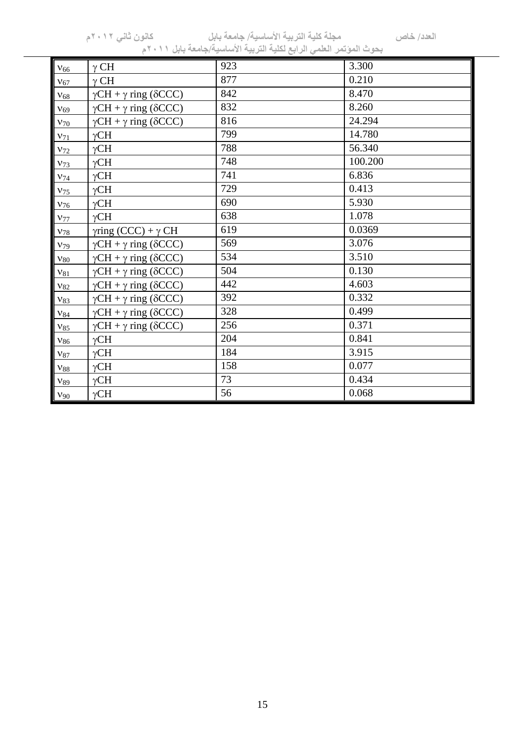**العدد/ خاص مجلة كلية التربية األساسية/ جامعة بابل كانون ثاني 0220م**

| بحوث الموتمر العلمي الرابع لكلية التربية الأساسية/جامعة بابل ٢٠١١م |                                            |     |         |  |
|--------------------------------------------------------------------|--------------------------------------------|-----|---------|--|
| $V_{66}$                                                           | $\gamma$ CH                                | 923 | 3.300   |  |
| $V_{67}$                                                           | $\gamma$ CH                                | 877 | 0.210   |  |
| $V_{68}$                                                           | $\gamma CH + \gamma$ ring ( $\delta CCC$ ) | 842 | 8.470   |  |
| V <sub>69</sub>                                                    | $\gamma CH + \gamma$ ring ( $\delta CCC$ ) | 832 | 8.260   |  |
| $v_{70}$                                                           | $\gamma CH + \gamma$ ring ( $\delta CCC$ ) | 816 | 24.294  |  |
| $V_{71}$                                                           | $\gamma$ CH                                | 799 | 14.780  |  |
| $V_{72}$                                                           | $\gamma$ CH                                | 788 | 56.340  |  |
| $V_{73}$                                                           | $\gamma$ CH                                | 748 | 100.200 |  |
| $V_{74}$                                                           | $\gamma$ CH                                | 741 | 6.836   |  |
| $V_{75}$                                                           | $\gamma$ CH                                | 729 | 0.413   |  |
| $V_{76}$                                                           | $\gamma$ CH                                | 690 | 5.930   |  |
| $V_{77}$                                                           | $\gamma$ CH                                | 638 | 1.078   |  |
| $V_{78}$                                                           | $\gamma$ ring (CCC) + $\gamma$ CH          | 619 | 0.0369  |  |
| $V_{79}$                                                           | $\gamma CH + \gamma$ ring ( $\delta CCC$ ) | 569 | 3.076   |  |
| $v_{80}$                                                           | $\gamma CH + \gamma$ ring ( $\delta CCC$ ) | 534 | 3.510   |  |
| $v_{81}$                                                           | $\gamma CH + \gamma$ ring ( $\delta CCC$ ) | 504 | 0.130   |  |
| $V_{82}$                                                           | $\gamma CH + \gamma$ ring ( $\delta CCC$ ) | 442 | 4.603   |  |
| $v_{83}$                                                           | $\gamma CH + \gamma$ ring ( $\delta CCC$ ) | 392 | 0.332   |  |
| $V_{84}$                                                           | $\gamma CH + \gamma$ ring ( $\delta CCC$ ) | 328 | 0.499   |  |
| $V_{85}$                                                           | $\gamma CH + \gamma$ ring ( $\delta CCC$ ) | 256 | 0.371   |  |
| ${\rm V}_{86}$                                                     | $\gamma$ CH                                | 204 | 0.841   |  |
| ${\rm V}_{87}$                                                     | $\gamma$ CH                                | 184 | 3.915   |  |
| ${\rm V}_{88}$                                                     | $\gamma$ CH                                | 158 | 0.077   |  |
| ${\rm V}\rm89$                                                     | $\gamma$ CH                                | 73  | 0.434   |  |
| $V_{90}$                                                           | $\gamma$ CH                                | 56  | 0.068   |  |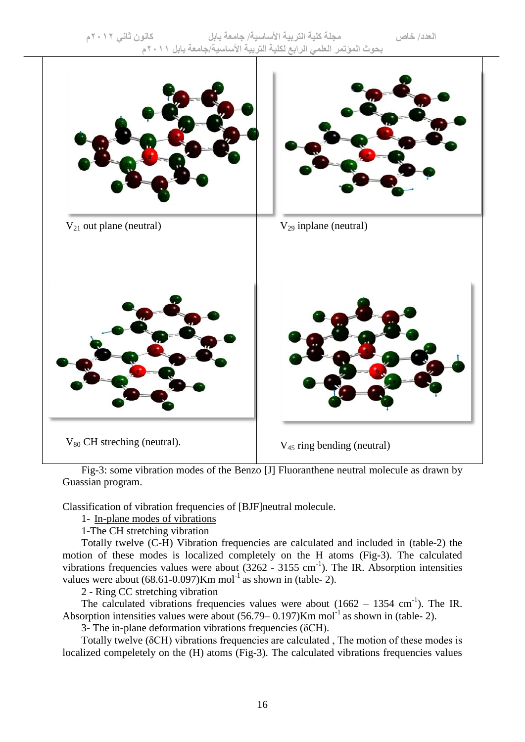

Fig-3: some vibration modes of the Benzo [J] Fluoranthene neutral molecule as drawn by Guassian program.

Classification of vibration frequencies of [BJF]neutral molecule.

1- In-plane modes of vibrations

1-The CH stretching vibration

Totally twelve (C-H) Vibration frequencies are calculated and included in (table-2) the motion of these modes is localized completely on the H atoms (Fig-3). The calculated vibrations frequencies values were about  $(3262 - 3155 \text{ cm}^{-1})$ . The IR. Absorption intensities values were about  $(68.61-0.097)$ Km mol<sup>-1</sup> as shown in (table- 2).

2 - Ring CC stretching vibration

The calculated vibrations frequencies values were about  $(1662 - 1354 \text{ cm}^{-1})$ . The IR. Absorption intensities values were about  $(56.79-0.197)$ Km mol<sup>-1</sup> as shown in (table- 2).

3- The in-plane deformation vibrations frequencies (δCH).

Totally twelve (δCH) vibrations frequencies are calculated , The motion of these modes is localized compeletely on the (H) atoms (Fig-3). The calculated vibrations frequencies values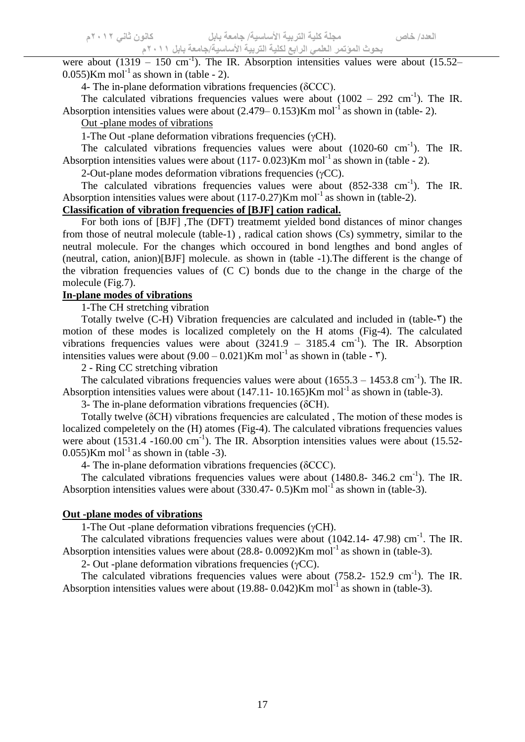were about  $(1319 - 150 \text{ cm}^{-1})$ . The IR. Absorption intensities values were about  $(15.52 0.055$ )Km mol<sup>-1</sup> as shown in (table - 2).

4- The in-plane deformation vibrations frequencies (δCCC).

The calculated vibrations frequencies values were about  $(1002 - 292 \text{ cm}^{-1})$ . The IR. Absorption intensities values were about  $(2.479-0.153)$ Km mol<sup>-1</sup> as shown in (table- 2).

## Out -plane modes of vibrations

1-The Out -plane deformation vibrations frequencies  $(\gamma CH)$ .

The calculated vibrations frequencies values were about  $(1020-60 \text{ cm}^{-1})$ . The IR. Absorption intensities values were about  $(117 - 0.023)$ Km mol<sup>-1</sup> as shown in (table - 2).

2-Out-plane modes deformation vibrations frequencies  $(\gamma CC)$ .

The calculated vibrations frequencies values were about  $(852-338 \text{ cm}^{-1})$ . The IR. Absorption intensities values were about  $(117-0.27)$ Km mol<sup>-1</sup> as shown in (table-2).

# **Classification of vibration frequencies of [BJF] cation radical.**

For both ions of [BJF] ,The (DFT) treatmemt yielded bond distances of minor changes from those of neutral molecule (table-1) , radical cation shows (Cs) symmetry, similar to the neutral molecule. For the changes which occoured in bond lengthes and bond angles of  $(neutral, cation, anion)[BJF] molecule, as shown in (table -1). The different is the change of$ the vibration frequencies values of (C C) bonds due to the change in the charge of the molecule (Fig.7).

## **In-plane modes of vibrations**

1-The CH stretching vibration

Totally twelve  $(C-H)$  Vibration frequencies are calculated and included in (table- $\tilde{\mathsf{v}}$ ) the motion of these modes is localized completely on the H atoms (Fig-4). The calculated vibrations frequencies values were about  $(3241.9 - 3185.4 \text{ cm}^3)$ . The IR. Absorption intensities values were about  $(9.00 - 0.021)$ Km mol<sup>-1</sup> as shown in (table -  $\tilde{v}$ ).

2 - Ring CC stretching vibration

The calculated vibrations frequencies values were about  $(1655.3 - 1453.8 \text{ cm}^{-1})$ . The IR. Absorption intensities values were about  $(147.11 - 10.165)$ Km mol<sup>-1</sup> as shown in (table-3).

3- The in-plane deformation vibrations frequencies (δCH).

Totally twelve (δCH) vibrations frequencies are calculated , The motion of these modes is localized compeletely on the (H) atomes (Fig-4). The calculated vibrations frequencies values were about  $(1531.4 - 160.00 \text{ cm}^{-1})$ . The IR. Absorption intensities values were about  $(15.52 0.055$ )Km mol<sup>-1</sup> as shown in (table -3).

4- The in-plane deformation vibrations frequencies (δCCC).

The calculated vibrations frequencies values were about  $(1480.8-346.2 \text{ cm}^{-1})$ . The IR. Absorption intensities values were about  $(330.47 - 0.5)$ Km mol<sup>-1</sup> as shown in (table-3).

#### **Out -plane modes of vibrations**

1-The Out -plane deformation vibrations frequencies  $(\gamma CH)$ .

The calculated vibrations frequencies values were about  $(1042.14 - 47.98)$  cm<sup>-1</sup>. The IR. Absorption intensities values were about  $(28.8 - 0.0092)$ Km mol<sup>-1</sup> as shown in (table-3).

2- Out -plane deformation vibrations frequencies  $(\gamma CC)$ .

The calculated vibrations frequencies values were about (758.2- 152.9 cm<sup>-1</sup>). The IR. Absorption intensities values were about  $(19.88 - 0.042)$ Km mol<sup>-1</sup> as shown in (table-3).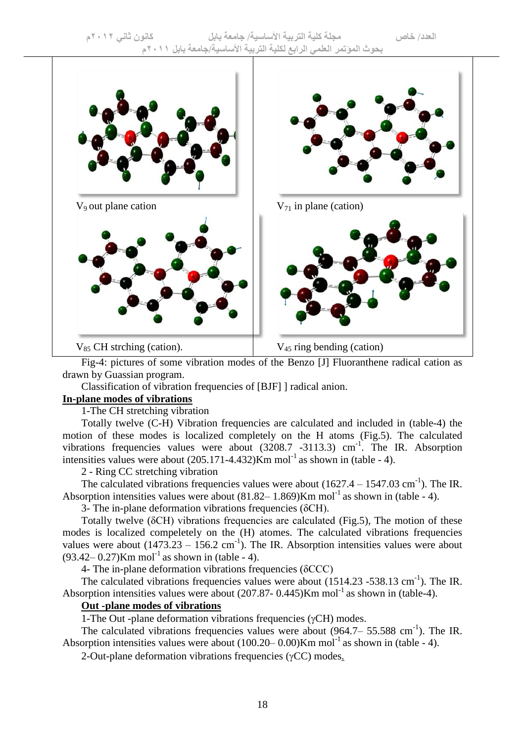

Fig-4: pictures of some vibration modes of the Benzo [J] Fluoranthene radical cation as drawn by Guassian program.

Classification of vibration frequencies of [BJF] ] radical anion.

#### **In-plane modes of vibrations**

1-The CH stretching vibration

Totally twelve (C-H) Vibration frequencies are calculated and included in (table-4) the motion of these modes is localized completely on the H atoms (Fig.5). The calculated vibrations frequencies values were about  $(3208.7 -3113.3)$  cm<sup>-1</sup>. The IR. Absorption intensities values were about  $(205.171-4.432)$ Km mol<sup>-1</sup> as shown in (table - 4).

2 - Ring CC stretching vibration

The calculated vibrations frequencies values were about  $(1627.4 - 1547.03 \text{ cm}^{-1})$ . The IR. Absorption intensities values were about  $(81.82 - 1.869)$ Km mol<sup>-1</sup> as shown in (table - 4).

3- The in-plane deformation vibrations frequencies (δCH).

Totally twelve ( $\delta$ CH) vibrations frequencies are calculated (Fig.5), The motion of these modes is localized compeletely on the (H) atomes. The calculated vibrations frequencies values were about  $(1473.23 - 156.2 \text{ cm}^{-1})$ . The IR. Absorption intensities values were about  $(93.42 - 0.27)$ Km mol<sup>-1</sup> as shown in (table - 4).

4- The in-plane deformation vibrations frequencies (δCCC)

The calculated vibrations frequencies values were about  $(1514.23 - 538.13 \text{ cm}^{-1})$ . The IR. Absorption intensities values were about  $(207.87 - 0.445)$ Km mol<sup>-1</sup> as shown in (table-4).

## **Out -plane modes of vibrations**

1-The Out -plane deformation vibrations frequencies ( $\gamma$ CH) modes.

The calculated vibrations frequencies values were about  $(964.7 - 55.588 \text{ cm}^{-1})$ . The IR. Absorption intensities values were about  $(100.20 - 0.00)$ Km mol<sup>-1</sup> as shown in (table - 4).

2-Out-plane deformation vibrations frequencies  $(\gamma CC)$  modes.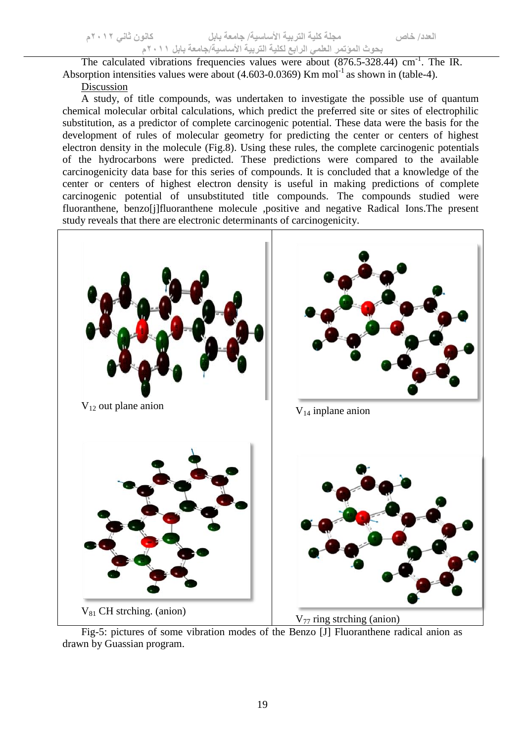The calculated vibrations frequencies values were about (876.5-328.44) cm<sup>-1</sup>. The IR. Absorption intensities values were about  $(4.603-0.0369)$  Km mol<sup>-1</sup> as shown in (table-4).

Discussion

A study, of title compounds, was undertaken to investigate the possible use of quantum chemical molecular orbital calculations, which predict the preferred site or sites of electrophilic substitution, as a predictor of complete carcinogenic potential. These data were the basis for the development of rules of molecular geometry for predicting the center or centers of highest electron density in the molecule (Fig.8). Using these rules, the complete carcinogenic potentials of the hydrocarbons were predicted. These predictions were compared to the available carcinogenicity data base for this series of compounds. It is concluded that a knowledge of the center or centers of highest electron density is useful in making predictions of complete carcinogenic potential of unsubstituted title compounds. The compounds studied were fluoranthene, benzo[j]fluoranthene molecule ,positive and negative Radical Ions.The present study reveals that there are electronic determinants of carcinogenicity.



Fig-5: pictures of some vibration modes of the Benzo [J] Fluoranthene radical anion as drawn by Guassian program.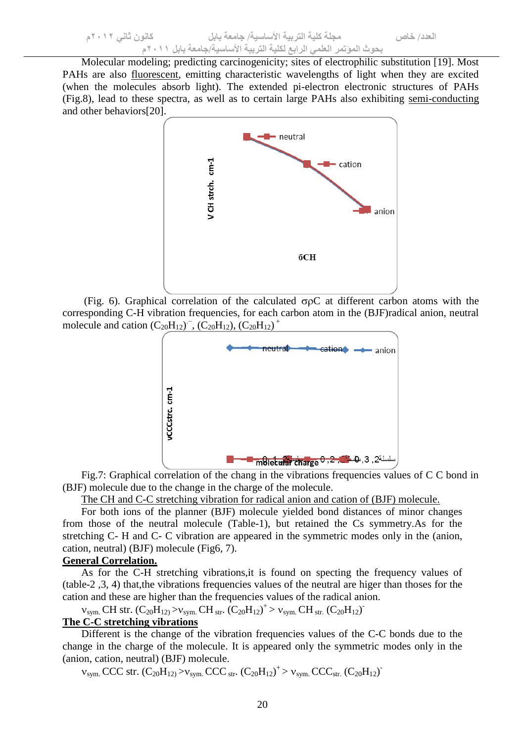Molecular modeling; predicting carcinogenicity; sites of electrophilic substitution [19]. Most PAHs are also [fluorescent,](file:///C:/Users/wiki/Fluorescent) emitting characteristic wavelengths of light when they are excited (when the molecules absorb light). The extended pi-electron electronic structures of PAHs (Fig.8), lead to these spectra, as well as to certain large PAHs also exhibiting [semi-conducting](file:///C:/Users/wiki/Semiconductor) and other behaviors[20].



(Fig. 6). Graphical correlation of the calculated  $\sigma \rho C$  at different carbon atoms with the corresponding C-H vibration frequencies, for each carbon atom in the (BJF)radical anion, neutral molecule and cation  $(C_{20}H_{12})^{\top}$ ,  $(C_{20}H_{12})$ ,  $(C_{20}H_{12})^{\top}$ 



Fig.7: Graphical correlation of the chang in the vibrations frequencies values of C C bond in (BJF) molecule due to the change in the charge of the molecule.

The CH and C-C stretching vibration for radical anion and cation of (BJF) molecule.

For both ions of the planner (BJF) molecule yielded bond distances of minor changes from those of the neutral molecule (Table-1), but retained the Cs symmetry.As for the stretching C- H and C- C vibration are appeared in the symmetric modes only in the (anion, cation, neutral) (BJF) molecule (Fig6, 7).

#### **General Correlation.**

As for the C-H stretching vibrations,it is found on specting the frequency values of (table-2 ,3, 4) that,the vibrations frequencies values of the neutral are higer than thoses for the cation and these are higher than the frequencies values of the radical anion.

 $v_{sym.}$  CH str.  $(C_{20}H_{12})>v_{sym.}$  CH str.  $(C_{20}H_{12})^+>v_{sym.}$  CH str.  $(C_{20}H_{12})^-$ 

# **The C-C stretching vibrations**

Different is the change of the vibration frequencies values of the C-C bonds due to the change in the charge of the molecule. It is appeared only the symmetric modes only in the (anion, cation, neutral) (BJF) molecule.

 $v_{sym.}$  CCC str.  $(C_{20}H_{12}) > v_{sym.}$  CCC str.  $(C_{20}H_{12})^+ > v_{sym.}$  CCC<sub>str.</sub>  $(C_{20}H_{12})^+$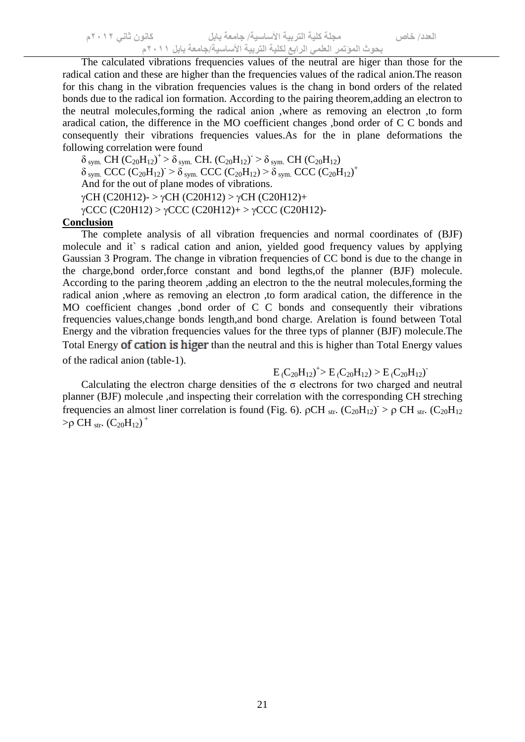The calculated vibrations frequencies values of the neutral are higer than those for the radical cation and these are higher than the frequencies values of the radical anion.The reason for this chang in the vibration frequencies values is the chang in bond orders of the related bonds due to the radical ion formation. According to the pairing theorem,adding an electron to the neutral molecules,forming the radical anion ,where as removing an electron ,to form aradical cation, the difference in the MO coefficient changes ,bond order of C C bonds and consequently their vibrations frequencies values.As for the in plane deformations the following correlation were found

 $\delta$  sym. CH (C<sub>20</sub>H<sub>12</sub>)<sup>+</sup> >  $\delta$  sym. CH. (C<sub>20</sub>H<sub>12</sub>)<sup>-</sup> >  $\delta$  sym. CH (C<sub>20</sub>H<sub>12</sub>)  $\delta$  sym. CCC (C<sub>20</sub>H<sub>12</sub>)  $> \delta$  sym. CCC (C<sub>20</sub>H<sub>12</sub>)  $> \delta$  sym. CCC (C<sub>20</sub>H<sub>12</sub>)<sup>+</sup> And for the out of plane modes of vibrations.  $\gamma$ CH (C20H12)- >  $\gamma$ CH (C20H12) >  $\gamma$ CH (C20H12)+  $\gamma$ CCC (C20H12) >  $\gamma$ CCC (C20H12)+ >  $\gamma$ CCC (C20H12)-

#### **Conclusion**

The complete analysis of all vibration frequencies and normal coordinates of (BJF) molecule and it` s radical cation and anion, yielded good frequency values by applying Gaussian 3 Program. The change in vibration frequencies of CC bond is due to the change in the charge,bond order,force constant and bond legths,of the planner (BJF) molecule. According to the paring theorem ,adding an electron to the the neutral molecules,forming the radical anion ,where as removing an electron ,to form aradical cation, the difference in the MO coefficient changes ,bond order of C C bonds and consequently their vibrations frequencies values,change bonds length,and bond charge. Arelation is found between Total Energy and the vibration frequencies values for the three typs of planner (BJF) molecule.The Total Energy of cation is higer than the neutral and this is higher than Total Energy values of the radical anion (table-1).

# $E(C_{20}H_{12})^{\dagger}$  >  $E(C_{20}H_{12})$  >  $E(C_{20}H_{12})^{\dagger}$

Calculating the electron charge densities of the  $\sigma$  electrons for two charged and neutral planner (BJF) molecule ,and inspecting their correlation with the corresponding CH streching frequencies an almost liner correlation is found (Fig. 6).  $\rho CH_{str} (C_{20}H_{12}) > \rho CH_{str} (C_{20}H_{12})$  $> \rho$  CH str.  $(C_{20}H_{12})^+$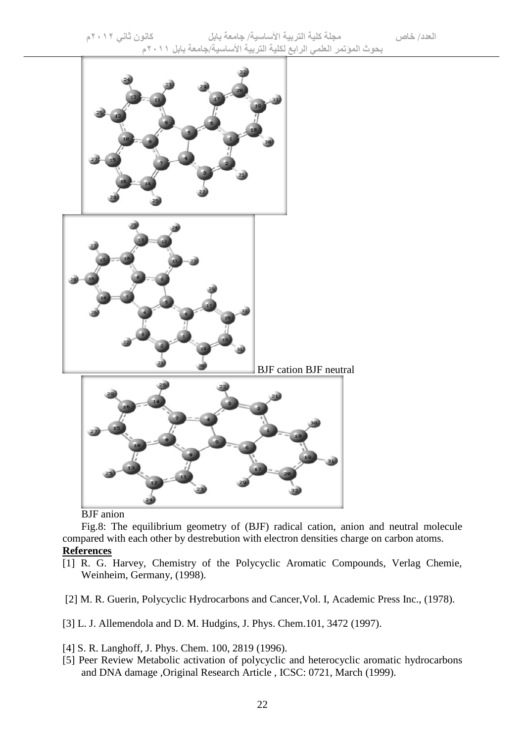

#### BJF anion

Fig.8: The equilibrium geometry of (BJF) radical cation, anion and neutral molecule compared with each other by destrebution with electron densities charge on carbon atoms. **References**

- [1] R. G. Harvey, Chemistry of the Polycyclic Aromatic Compounds, Verlag Chemie, Weinheim, Germany, (1998).
- [2] M. R. Guerin, Polycyclic Hydrocarbons and Cancer,Vol. I, Academic Press Inc., (1978).
- [3] L. J. Allemendola and D. M. Hudgins, J. Phys. Chem.101, 3472 (1997).
- [4] S. R. Langhoff, J. Phys. Chem. 100, 2819 (1996).
- [5] Peer Review Metabolic activation of polycyclic and heterocyclic aromatic hydrocarbons and DNA damage ,Original Research Article , ICSC: 0721, March (1999).